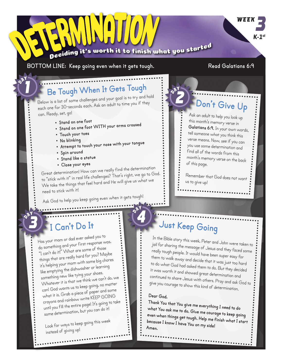

"I can't do it!" What are some of those things that are really hard for you? Maybe it's helping your mom with some big chores like emptying the dishwasher or learning something new like tying your shoes. Whatever it is that we think we can't do, we can! God wants us to keep going, no matter what it is. Grab a piece of paper and some crayons and rainbow write KEEP GOING until you fill the entire page! It's going to take some determination, but you can do it!

Look for ways to keep going this wee<sup>k</sup> instead of giving up!

jail for sharing the message of Jesus and they faced some really tough people. It would have been super easy for them to walk away and decide that it was just too hard to do what God had asked them to do. But they decided it was worth it and showed great determination and continued to share Jesus with others. Pray and ask God to <sup>g</sup>ive you courage to show this kind of determination.

## **Dear God,**

**Thank You that You give me everything I need to do what You ask me to do. Give me courage to keep going even when things get tough. Help me finish what I start because I know I have You on my side! Amen.**